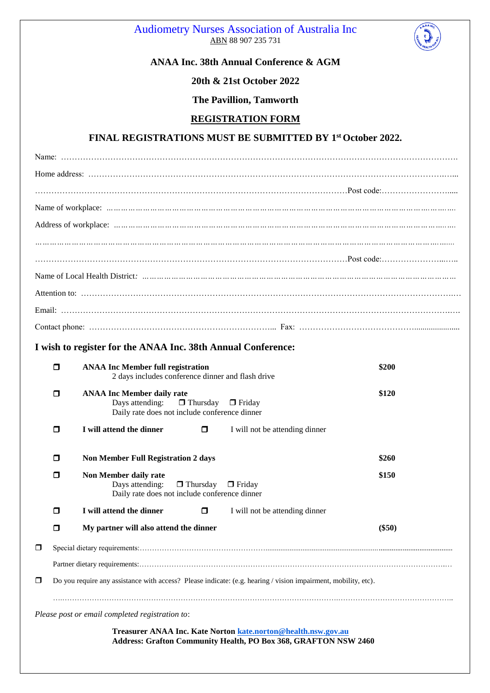



# **ANAA Inc. 38th Annual Conference & AGM**

## **20th & 21st October 2022**

## **The Pavillion, Tamworth**

#### **REGISTRATION FORM**

#### **FINAL REGISTRATIONS MUST BE SUBMITTED BY 1st October 2022.**

|        | I wish to register for the ANAA Inc. 38th Annual Conference:                                                                           |          |  |  |  |  |  |  |
|--------|----------------------------------------------------------------------------------------------------------------------------------------|----------|--|--|--|--|--|--|
| $\Box$ | <b>ANAA Inc Member full registration</b><br>2 days includes conference dinner and flash drive                                          | \$200    |  |  |  |  |  |  |
| α      | <b>ANAA Inc Member daily rate</b><br>Days attending: $\Box$ Thursday<br>$\Box$ Friday<br>Daily rate does not include conference dinner | \$120    |  |  |  |  |  |  |
| α      | I will attend the dinner<br>$\Box$<br>I will not be attending dinner                                                                   |          |  |  |  |  |  |  |
| α      | <b>Non Member Full Registration 2 days</b>                                                                                             | \$260    |  |  |  |  |  |  |
| α      | Non Member daily rate<br>$\Box$ Thursday<br>Days attending:<br>$\Box$ Friday<br>Daily rate does not include conference dinner          | \$150    |  |  |  |  |  |  |
| σ      | I will attend the dinner<br>$\Box$<br>I will not be attending dinner                                                                   |          |  |  |  |  |  |  |
| α      | My partner will also attend the dinner                                                                                                 | $(\$50)$ |  |  |  |  |  |  |

 Special dietary requirements:……………………………………………..................................................................................................... Partner dietary requirements:…………………………………………………………………………………………………………….… Do you require any assistance with access? Please indicate: (e.g. hearing / vision impairment, mobility, etc).

*Please post or email completed registration to*:

**Treasurer ANAA Inc. Kate Norton [kate.norton@health.nsw.gov.au](mailto:kate.norton@health.nsw.gov.au) Address: Grafton Community Health, PO Box 368, GRAFTON NSW 2460**

….………………………………………………………………………………………………….………………………………………..